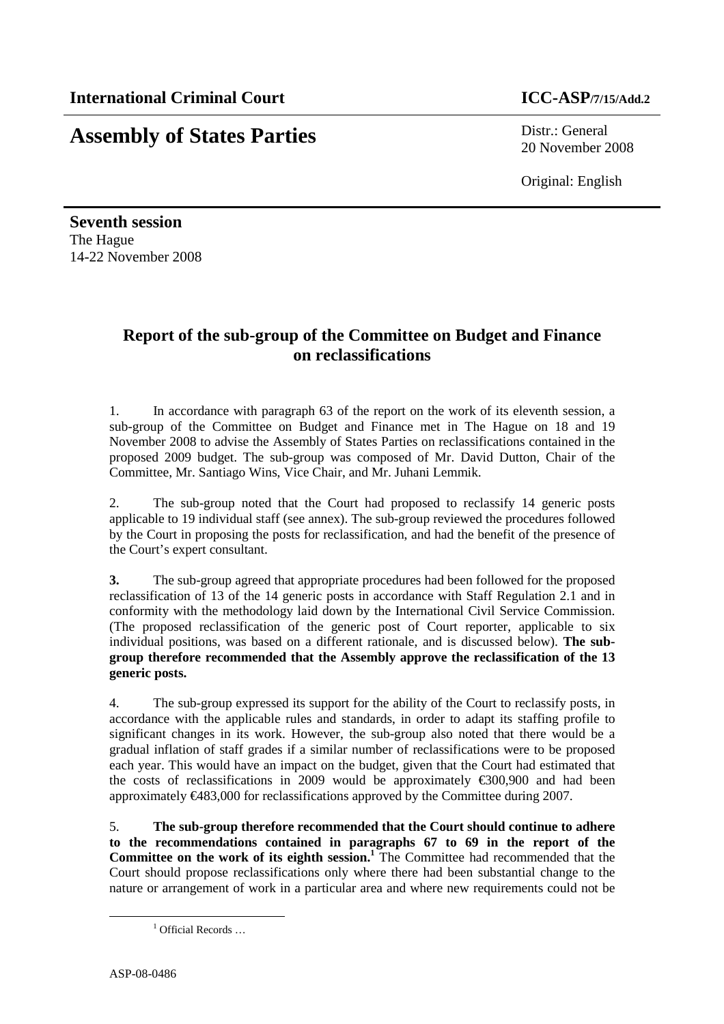## **Assembly of States Parties** Distr.: General

20 November 2008

Original: English

**Seventh session**  The Hague 14-22 November 2008

## **Report of the sub-group of the Committee on Budget and Finance on reclassifications**

1. In accordance with paragraph 63 of the report on the work of its eleventh session, a sub-group of the Committee on Budget and Finance met in The Hague on 18 and 19 November 2008 to advise the Assembly of States Parties on reclassifications contained in the proposed 2009 budget. The sub-group was composed of Mr. David Dutton, Chair of the Committee, Mr. Santiago Wins, Vice Chair, and Mr. Juhani Lemmik.

2. The sub-group noted that the Court had proposed to reclassify 14 generic posts applicable to 19 individual staff (see annex). The sub-group reviewed the procedures followed by the Court in proposing the posts for reclassification, and had the benefit of the presence of the Court's expert consultant.

**3.** The sub-group agreed that appropriate procedures had been followed for the proposed reclassification of 13 of the 14 generic posts in accordance with Staff Regulation 2.1 and in conformity with the methodology laid down by the International Civil Service Commission. (The proposed reclassification of the generic post of Court reporter, applicable to six individual positions, was based on a different rationale, and is discussed below). **The subgroup therefore recommended that the Assembly approve the reclassification of the 13 generic posts.** 

4. The sub-group expressed its support for the ability of the Court to reclassify posts, in accordance with the applicable rules and standards, in order to adapt its staffing profile to significant changes in its work. However, the sub-group also noted that there would be a gradual inflation of staff grades if a similar number of reclassifications were to be proposed each year. This would have an impact on the budget, given that the Court had estimated that the costs of reclassifications in 2009 would be approximately  $\epsilon$ 300,900 and had been approximately  $\epsilon$ 483,000 for reclassifications approved by the Committee during 2007.

5. **The sub-group therefore recommended that the Court should continue to adhere to the recommendations contained in paragraphs 67 to 69 in the report of the Committee on the work of its eighth session.<sup>1</sup>** The Committee had recommended that the Court should propose reclassifications only where there had been substantial change to the nature or arrangement of work in a particular area and where new requirements could not be

 $\overline{a}$ 

<sup>&</sup>lt;sup>1</sup> Official Records ...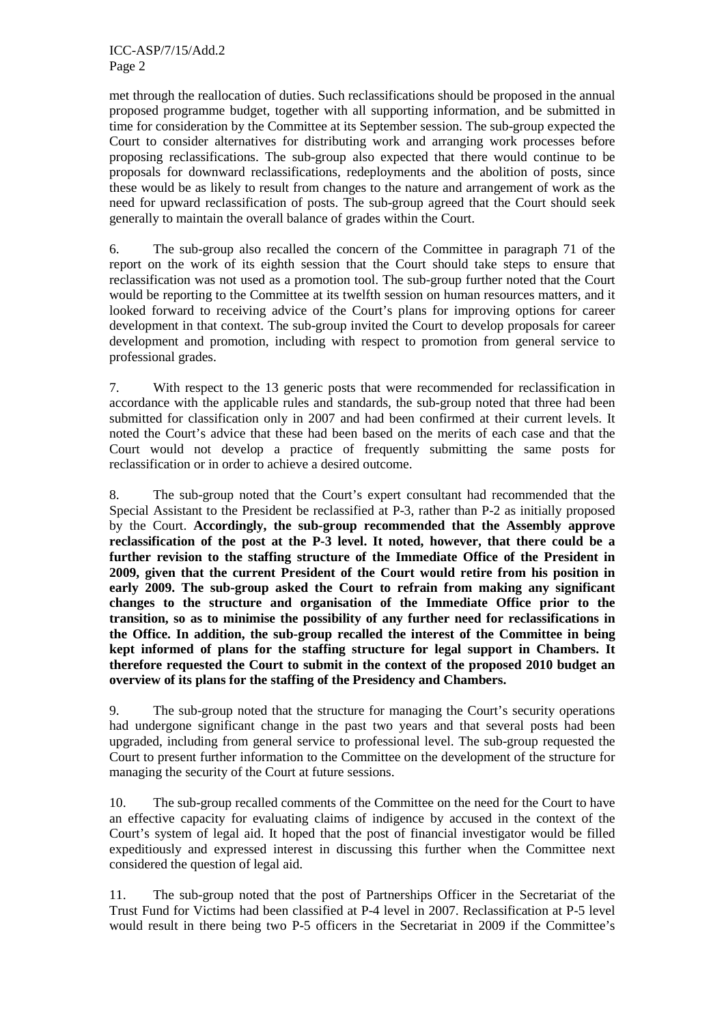met through the reallocation of duties. Such reclassifications should be proposed in the annual proposed programme budget, together with all supporting information, and be submitted in time for consideration by the Committee at its September session. The sub-group expected the Court to consider alternatives for distributing work and arranging work processes before proposing reclassifications. The sub-group also expected that there would continue to be proposals for downward reclassifications, redeployments and the abolition of posts, since these would be as likely to result from changes to the nature and arrangement of work as the need for upward reclassification of posts. The sub-group agreed that the Court should seek generally to maintain the overall balance of grades within the Court.

6. The sub-group also recalled the concern of the Committee in paragraph 71 of the report on the work of its eighth session that the Court should take steps to ensure that reclassification was not used as a promotion tool. The sub-group further noted that the Court would be reporting to the Committee at its twelfth session on human resources matters, and it looked forward to receiving advice of the Court's plans for improving options for career development in that context. The sub-group invited the Court to develop proposals for career development and promotion, including with respect to promotion from general service to professional grades.

7. With respect to the 13 generic posts that were recommended for reclassification in accordance with the applicable rules and standards, the sub-group noted that three had been submitted for classification only in 2007 and had been confirmed at their current levels. It noted the Court's advice that these had been based on the merits of each case and that the Court would not develop a practice of frequently submitting the same posts for reclassification or in order to achieve a desired outcome.

8. The sub-group noted that the Court's expert consultant had recommended that the Special Assistant to the President be reclassified at P-3, rather than P-2 as initially proposed by the Court. **Accordingly, the sub-group recommended that the Assembly approve reclassification of the post at the P-3 level. It noted, however, that there could be a further revision to the staffing structure of the Immediate Office of the President in 2009, given that the current President of the Court would retire from his position in early 2009. The sub-group asked the Court to refrain from making any significant changes to the structure and organisation of the Immediate Office prior to the transition, so as to minimise the possibility of any further need for reclassifications in the Office. In addition, the sub-group recalled the interest of the Committee in being kept informed of plans for the staffing structure for legal support in Chambers. It therefore requested the Court to submit in the context of the proposed 2010 budget an overview of its plans for the staffing of the Presidency and Chambers.**

9. The sub-group noted that the structure for managing the Court's security operations had undergone significant change in the past two years and that several posts had been upgraded, including from general service to professional level. The sub-group requested the Court to present further information to the Committee on the development of the structure for managing the security of the Court at future sessions.

10. The sub-group recalled comments of the Committee on the need for the Court to have an effective capacity for evaluating claims of indigence by accused in the context of the Court's system of legal aid. It hoped that the post of financial investigator would be filled expeditiously and expressed interest in discussing this further when the Committee next considered the question of legal aid.

11. The sub-group noted that the post of Partnerships Officer in the Secretariat of the Trust Fund for Victims had been classified at P-4 level in 2007. Reclassification at P-5 level would result in there being two P-5 officers in the Secretariat in 2009 if the Committee's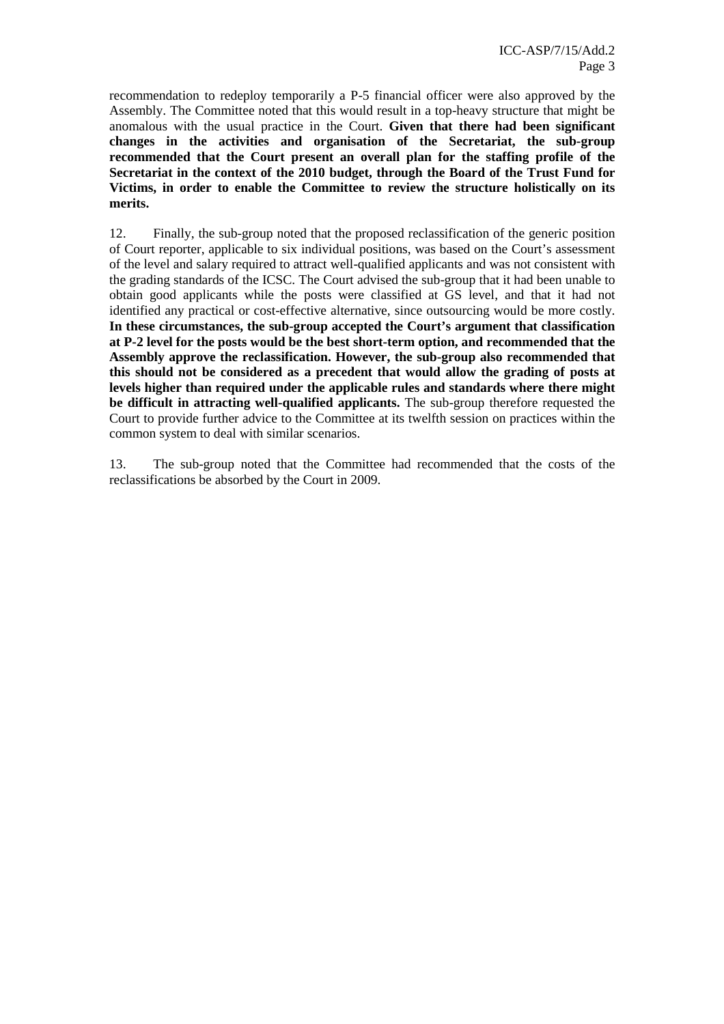recommendation to redeploy temporarily a P-5 financial officer were also approved by the Assembly. The Committee noted that this would result in a top-heavy structure that might be anomalous with the usual practice in the Court. **Given that there had been significant changes in the activities and organisation of the Secretariat, the sub-group recommended that the Court present an overall plan for the staffing profile of the Secretariat in the context of the 2010 budget, through the Board of the Trust Fund for Victims, in order to enable the Committee to review the structure holistically on its merits.**

12. Finally, the sub-group noted that the proposed reclassification of the generic position of Court reporter, applicable to six individual positions, was based on the Court's assessment of the level and salary required to attract well-qualified applicants and was not consistent with the grading standards of the ICSC. The Court advised the sub-group that it had been unable to obtain good applicants while the posts were classified at GS level, and that it had not identified any practical or cost-effective alternative, since outsourcing would be more costly. **In these circumstances, the sub-group accepted the Court's argument that classification at P-2 level for the posts would be the best short-term option, and recommended that the Assembly approve the reclassification. However, the sub-group also recommended that this should not be considered as a precedent that would allow the grading of posts at levels higher than required under the applicable rules and standards where there might be difficult in attracting well-qualified applicants.** The sub-group therefore requested the Court to provide further advice to the Committee at its twelfth session on practices within the common system to deal with similar scenarios.

13. The sub-group noted that the Committee had recommended that the costs of the reclassifications be absorbed by the Court in 2009.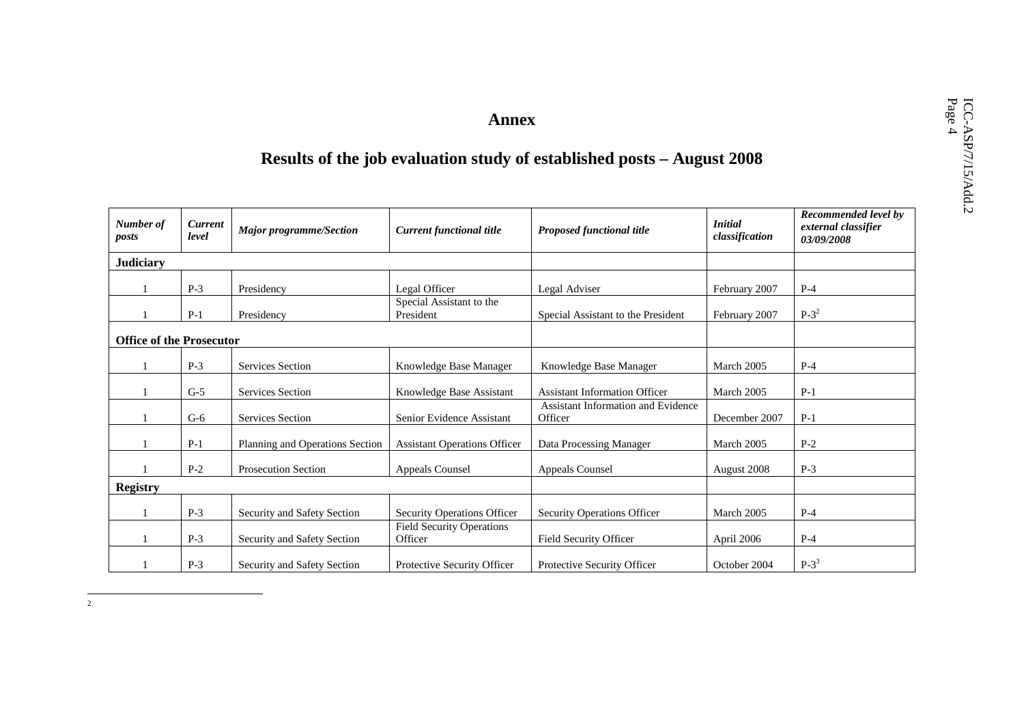# Annex<br> **ICC-AC-ACC-ACC-ACC-ACCE-ACCES**<br>
Results of the job evaluation study of established posts – August 2008

| Number of<br>posts              | <b>Current</b><br>level | <b>Major programme/Section</b>  | <b>Current functional title</b>             | <b>Proposed functional title</b>              | <b>Initial</b><br>classification | Recommended level by<br>external classifier<br>03/09/2008 |
|---------------------------------|-------------------------|---------------------------------|---------------------------------------------|-----------------------------------------------|----------------------------------|-----------------------------------------------------------|
| <b>Judiciary</b>                |                         |                                 |                                             |                                               |                                  |                                                           |
|                                 | $P-3$                   | Presidency                      | Legal Officer                               | Legal Adviser                                 | February 2007                    | $P-4$                                                     |
|                                 | $P-1$                   | Presidency                      | Special Assistant to the<br>President       | Special Assistant to the President            | February 2007                    | $P-3^2$                                                   |
| <b>Office of the Prosecutor</b> |                         |                                 |                                             |                                               |                                  |                                                           |
|                                 | $P-3$                   | <b>Services Section</b>         | Knowledge Base Manager                      | Knowledge Base Manager                        | March 2005                       | $P-4$                                                     |
|                                 | $G-5$                   | <b>Services Section</b>         | Knowledge Base Assistant                    | <b>Assistant Information Officer</b>          | March 2005                       | $P-1$                                                     |
|                                 | $G-6$                   | <b>Services Section</b>         | Senior Evidence Assistant                   | Assistant Information and Evidence<br>Officer | December 2007                    | $P-1$                                                     |
|                                 | $P-1$                   | Planning and Operations Section | <b>Assistant Operations Officer</b>         | Data Processing Manager                       | March 2005                       | $P-2$                                                     |
|                                 | $P-2$                   | <b>Prosecution Section</b>      | <b>Appeals Counsel</b>                      | <b>Appeals Counsel</b>                        | August 2008                      | $P-3$                                                     |
| <b>Registry</b>                 |                         |                                 |                                             |                                               |                                  |                                                           |
|                                 | $P-3$                   | Security and Safety Section     | Security Operations Officer                 | Security Operations Officer                   | March 2005                       | $P-4$                                                     |
|                                 | $P-3$                   | Security and Safety Section     | <b>Field Security Operations</b><br>Officer | Field Security Officer                        | April 2006                       | $P-4$                                                     |
|                                 | $P-3$                   | Security and Safety Section     | Protective Security Officer                 | Protective Security Officer                   | October 2004                     | $P-3^3$                                                   |